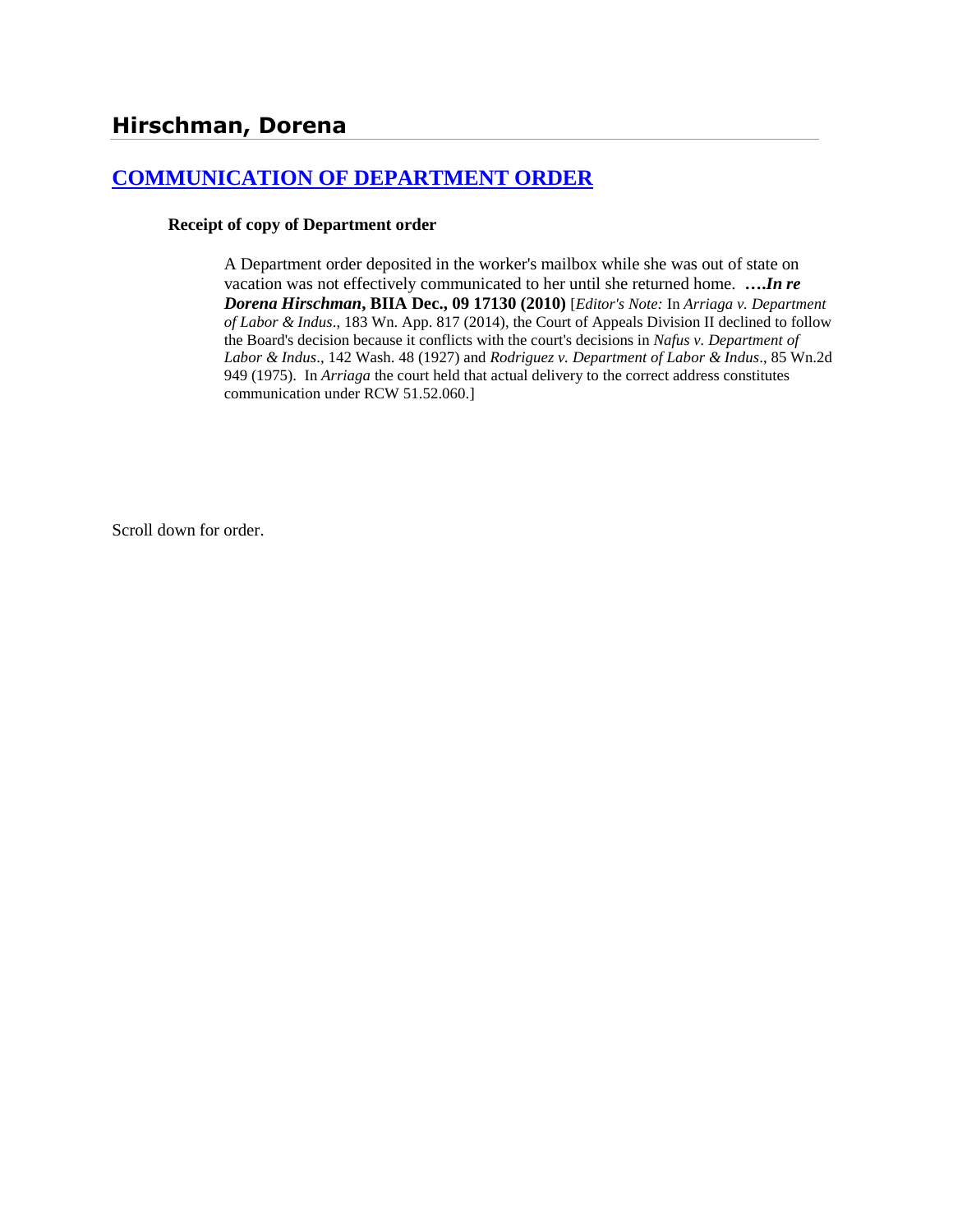## **[COMMUNICATION OF DEPARTMENT ORDER](http://www.biia.wa.gov/SDSubjectIndex.html#COMMUNICATION_OF_DEPARTMENT_ORDER)**

## **Receipt of copy of Department order**

A Department order deposited in the worker's mailbox while she was out of state on vacation was not effectively communicated to her until she returned home. **….***In re Dorena Hirschman***, BIIA Dec., 09 17130 (2010)** [*Editor's Note:* In *Arriaga v. Department of Labor & Indus*., 183 Wn. App. 817 (2014), the Court of Appeals Division II declined to follow the Board's decision because it conflicts with the court's decisions in *Nafus v. Department of Labor & Indus*., 142 Wash. 48 (1927) and *Rodriguez v. Department of Labor & Indus*., 85 Wn.2d 949 (1975). In *Arriaga* the court held that actual delivery to the correct address constitutes communication under RCW 51.52.060.]

Scroll down for order.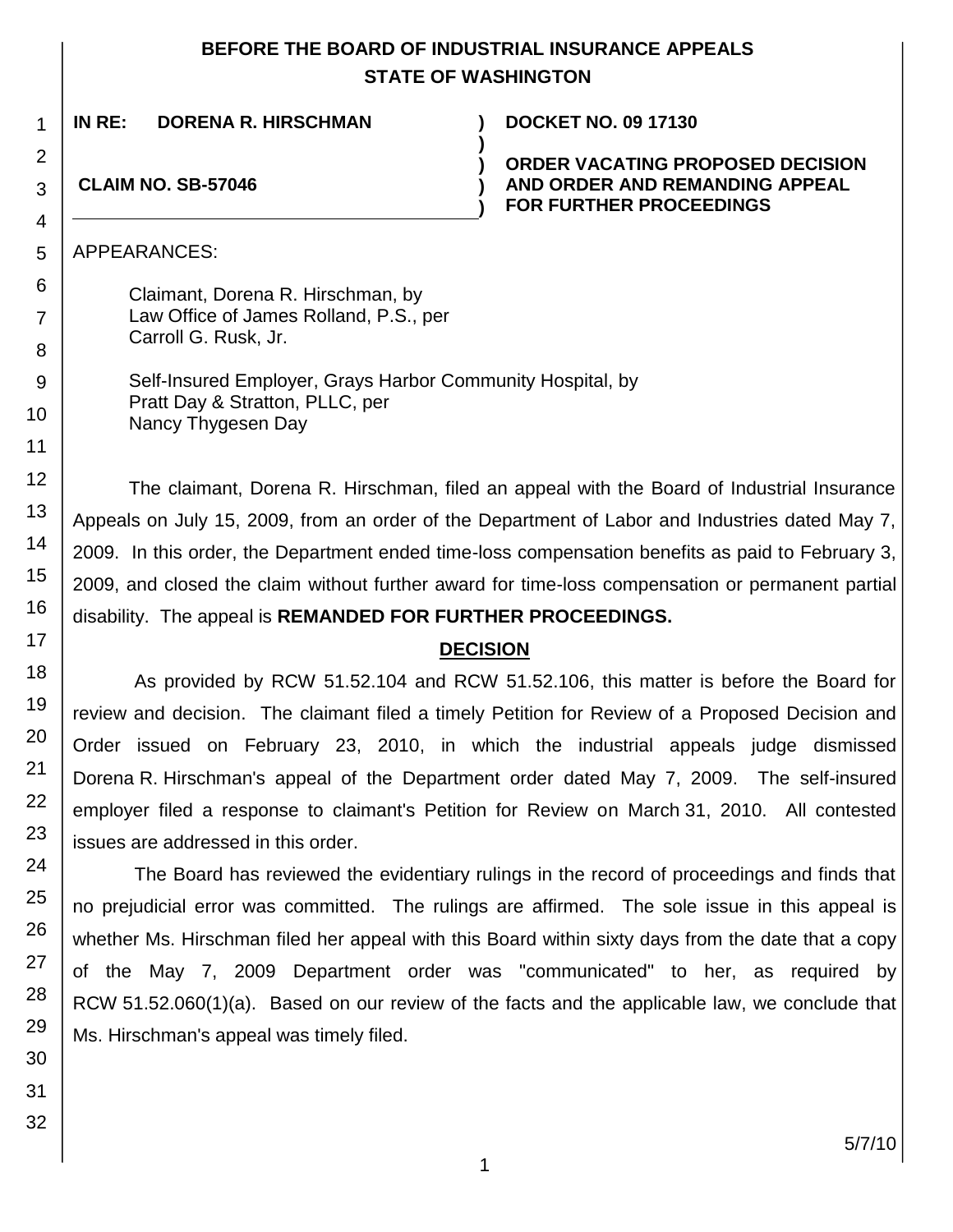## **BEFORE THE BOARD OF INDUSTRIAL INSURANCE APPEALS STATE OF WASHINGTON**

**)**

**) ) )**

**IN RE: DORENA R. HIRSCHMAN ) DOCKET NO. 09 17130**

**ORDER VACATING PROPOSED DECISION AND ORDER AND REMANDING APPEAL FOR FURTHER PROCEEDINGS**

**CLAIM NO. SB-57046**

APPEARANCES:

Claimant, Dorena R. Hirschman, by Law Office of James Rolland, P.S., per Carroll G. Rusk, Jr.

Self-Insured Employer, Grays Harbor Community Hospital, by Pratt Day & Stratton, PLLC, per Nancy Thygesen Day

The claimant, Dorena R. Hirschman, filed an appeal with the Board of Industrial Insurance Appeals on July 15, 2009, from an order of the Department of Labor and Industries dated May 7, 2009. In this order, the Department ended time-loss compensation benefits as paid to February 3, 2009, and closed the claim without further award for time-loss compensation or permanent partial disability. The appeal is **REMANDED FOR FURTHER PROCEEDINGS.**

## **DECISION**

As provided by RCW 51.52.104 and RCW 51.52.106, this matter is before the Board for review and decision. The claimant filed a timely Petition for Review of a Proposed Decision and Order issued on February 23, 2010, in which the industrial appeals judge dismissed Dorena R. Hirschman's appeal of the Department order dated May 7, 2009. The self-insured employer filed a response to claimant's Petition for Review on March 31, 2010. All contested issues are addressed in this order.

The Board has reviewed the evidentiary rulings in the record of proceedings and finds that no prejudicial error was committed. The rulings are affirmed. The sole issue in this appeal is whether Ms. Hirschman filed her appeal with this Board within sixty days from the date that a copy of the May 7, 2009 Department order was "communicated" to her, as required by RCW 51.52.060(1)(a). Based on our review of the facts and the applicable law, we conclude that Ms. Hirschman's appeal was timely filed.

1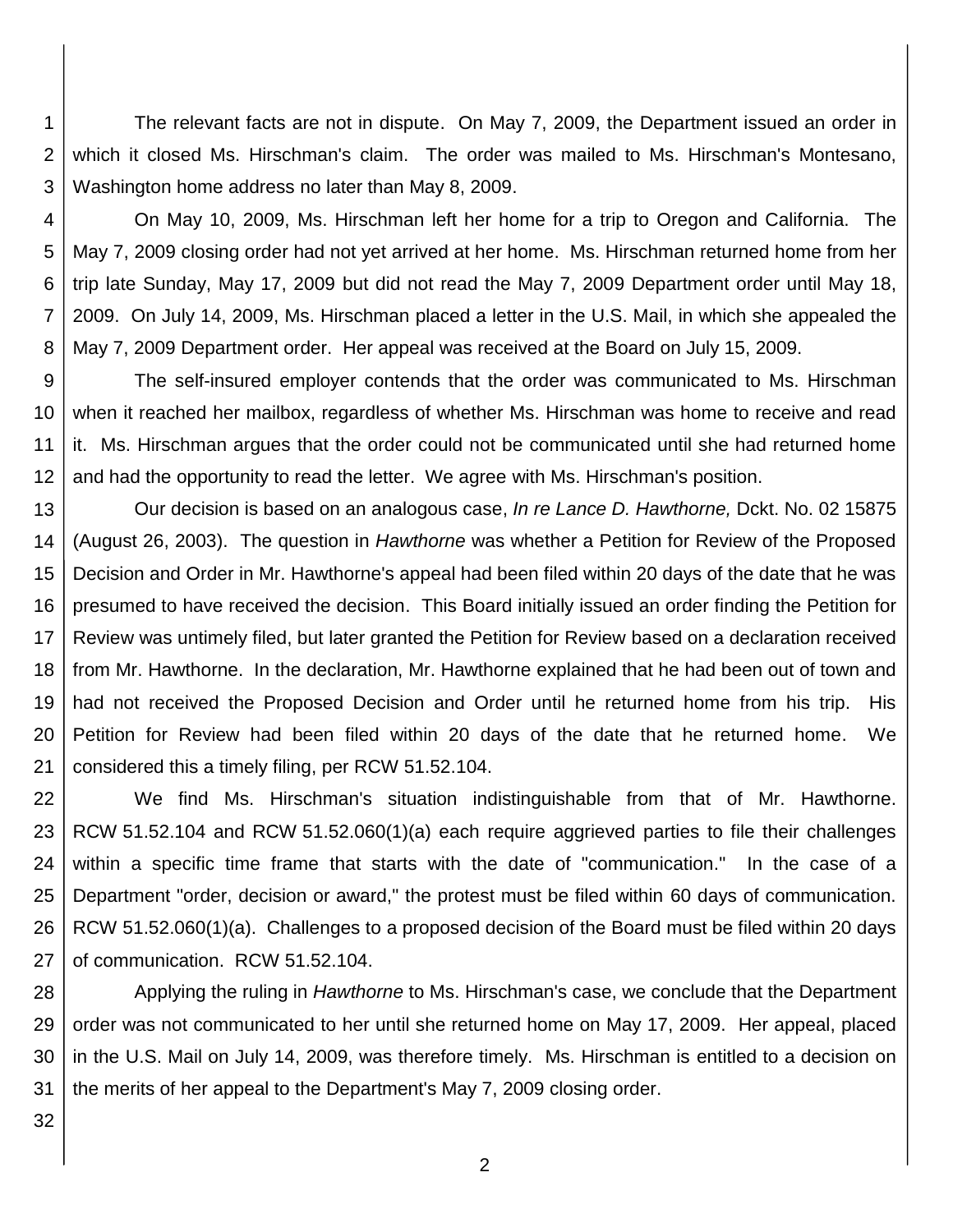1 2 3 The relevant facts are not in dispute. On May 7, 2009, the Department issued an order in which it closed Ms. Hirschman's claim. The order was mailed to Ms. Hirschman's Montesano, Washington home address no later than May 8, 2009.

4

5

6

7 8 On May 10, 2009, Ms. Hirschman left her home for a trip to Oregon and California. The May 7, 2009 closing order had not yet arrived at her home. Ms. Hirschman returned home from her trip late Sunday, May 17, 2009 but did not read the May 7, 2009 Department order until May 18, 2009. On July 14, 2009, Ms. Hirschman placed a letter in the U.S. Mail, in which she appealed the May 7, 2009 Department order. Her appeal was received at the Board on July 15, 2009.

9 10 11 12 The self-insured employer contends that the order was communicated to Ms. Hirschman when it reached her mailbox, regardless of whether Ms. Hirschman was home to receive and read it. Ms. Hirschman argues that the order could not be communicated until she had returned home and had the opportunity to read the letter. We agree with Ms. Hirschman's position.

13 14 15 16 17 18 19 20 21 Our decision is based on an analogous case, *In re Lance D. Hawthorne,* Dckt. No. 02 15875 (August 26, 2003). The question in *Hawthorne* was whether a Petition for Review of the Proposed Decision and Order in Mr. Hawthorne's appeal had been filed within 20 days of the date that he was presumed to have received the decision. This Board initially issued an order finding the Petition for Review was untimely filed, but later granted the Petition for Review based on a declaration received from Mr. Hawthorne. In the declaration, Mr. Hawthorne explained that he had been out of town and had not received the Proposed Decision and Order until he returned home from his trip. His Petition for Review had been filed within 20 days of the date that he returned home. We considered this a timely filing, per RCW 51.52.104.

22 23 24 25 26 27 We find Ms. Hirschman's situation indistinguishable from that of Mr. Hawthorne. RCW 51.52.104 and RCW 51.52.060(1)(a) each require aggrieved parties to file their challenges within a specific time frame that starts with the date of "communication." In the case of a Department "order, decision or award," the protest must be filed within 60 days of communication. RCW 51.52.060(1)(a). Challenges to a proposed decision of the Board must be filed within 20 days of communication. RCW 51.52.104.

28 29 30 31 Applying the ruling in *Hawthorne* to Ms. Hirschman's case, we conclude that the Department order was not communicated to her until she returned home on May 17, 2009. Her appeal, placed in the U.S. Mail on July 14, 2009, was therefore timely. Ms. Hirschman is entitled to a decision on the merits of her appeal to the Department's May 7, 2009 closing order.

32

2